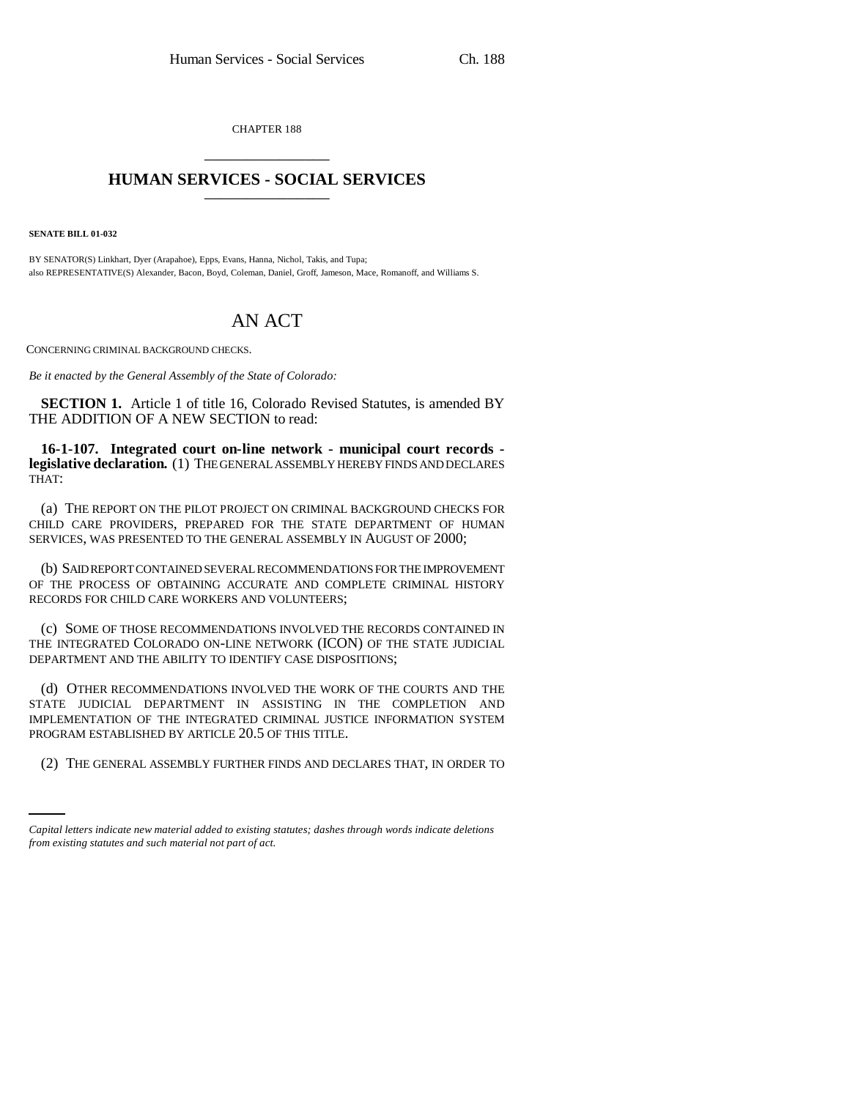CHAPTER 188 \_\_\_\_\_\_\_\_\_\_\_\_\_\_\_

## **HUMAN SERVICES - SOCIAL SERVICES** \_\_\_\_\_\_\_\_\_\_\_\_\_\_\_

**SENATE BILL 01-032**

BY SENATOR(S) Linkhart, Dyer (Arapahoe), Epps, Evans, Hanna, Nichol, Takis, and Tupa; also REPRESENTATIVE(S) Alexander, Bacon, Boyd, Coleman, Daniel, Groff, Jameson, Mace, Romanoff, and Williams S.

## AN ACT

CONCERNING CRIMINAL BACKGROUND CHECKS.

*Be it enacted by the General Assembly of the State of Colorado:*

**SECTION 1.** Article 1 of title 16, Colorado Revised Statutes, is amended BY THE ADDITION OF A NEW SECTION to read:

**16-1-107. Integrated court on-line network - municipal court records legislative declaration.** (1) THE GENERAL ASSEMBLY HEREBY FINDS AND DECLARES THAT:

(a) THE REPORT ON THE PILOT PROJECT ON CRIMINAL BACKGROUND CHECKS FOR CHILD CARE PROVIDERS, PREPARED FOR THE STATE DEPARTMENT OF HUMAN SERVICES, WAS PRESENTED TO THE GENERAL ASSEMBLY IN AUGUST OF 2000;

(b) SAID REPORT CONTAINED SEVERAL RECOMMENDATIONS FOR THE IMPROVEMENT OF THE PROCESS OF OBTAINING ACCURATE AND COMPLETE CRIMINAL HISTORY RECORDS FOR CHILD CARE WORKERS AND VOLUNTEERS;

(c) SOME OF THOSE RECOMMENDATIONS INVOLVED THE RECORDS CONTAINED IN THE INTEGRATED COLORADO ON-LINE NETWORK (ICON) OF THE STATE JUDICIAL DEPARTMENT AND THE ABILITY TO IDENTIFY CASE DISPOSITIONS;

PROGRAM ESTABLISHED BY ARTICLE 20.5 OF THIS TITLE. (d) OTHER RECOMMENDATIONS INVOLVED THE WORK OF THE COURTS AND THE STATE JUDICIAL DEPARTMENT IN ASSISTING IN THE COMPLETION AND IMPLEMENTATION OF THE INTEGRATED CRIMINAL JUSTICE INFORMATION SYSTEM

(2) THE GENERAL ASSEMBLY FURTHER FINDS AND DECLARES THAT, IN ORDER TO

*Capital letters indicate new material added to existing statutes; dashes through words indicate deletions from existing statutes and such material not part of act.*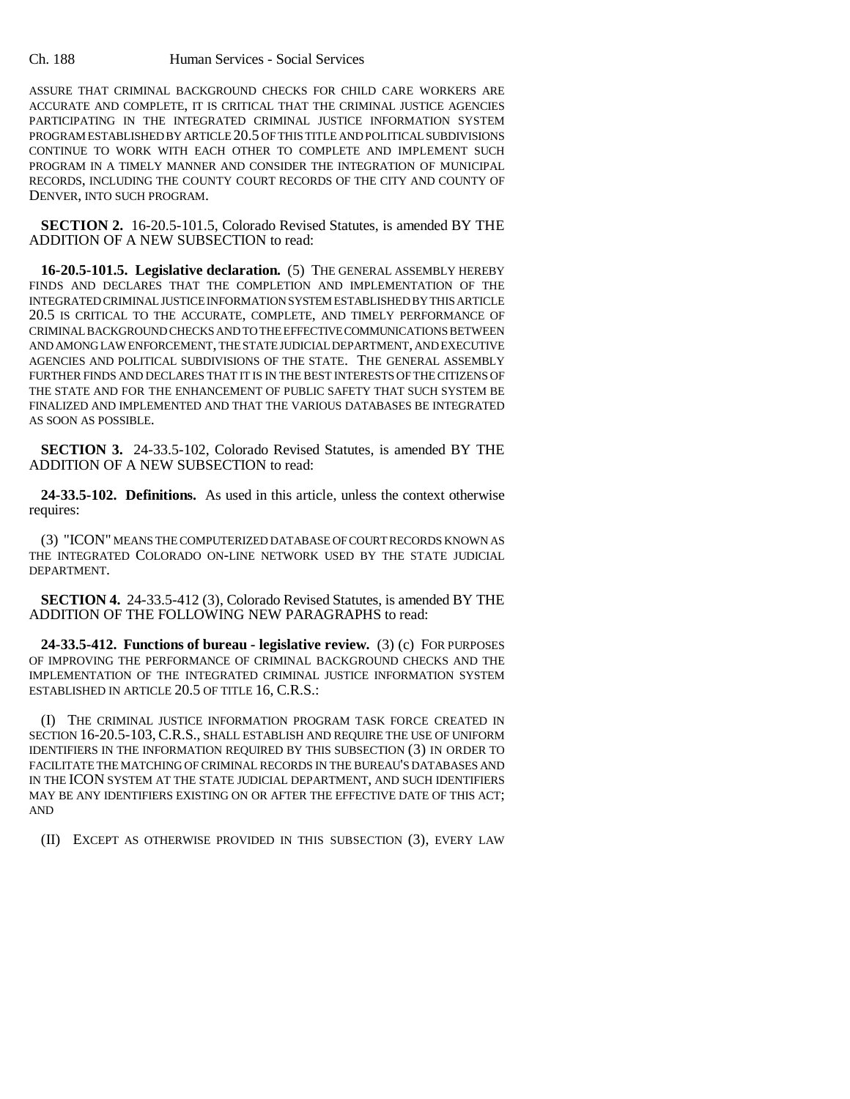## Ch. 188 Human Services - Social Services

ASSURE THAT CRIMINAL BACKGROUND CHECKS FOR CHILD CARE WORKERS ARE ACCURATE AND COMPLETE, IT IS CRITICAL THAT THE CRIMINAL JUSTICE AGENCIES PARTICIPATING IN THE INTEGRATED CRIMINAL JUSTICE INFORMATION SYSTEM PROGRAM ESTABLISHED BY ARTICLE 20.5 OF THIS TITLE AND POLITICAL SUBDIVISIONS CONTINUE TO WORK WITH EACH OTHER TO COMPLETE AND IMPLEMENT SUCH PROGRAM IN A TIMELY MANNER AND CONSIDER THE INTEGRATION OF MUNICIPAL RECORDS, INCLUDING THE COUNTY COURT RECORDS OF THE CITY AND COUNTY OF DENVER, INTO SUCH PROGRAM.

**SECTION 2.** 16-20.5-101.5, Colorado Revised Statutes, is amended BY THE ADDITION OF A NEW SUBSECTION to read:

**16-20.5-101.5. Legislative declaration.** (5) THE GENERAL ASSEMBLY HEREBY FINDS AND DECLARES THAT THE COMPLETION AND IMPLEMENTATION OF THE INTEGRATED CRIMINAL JUSTICE INFORMATION SYSTEM ESTABLISHED BY THIS ARTICLE 20.5 IS CRITICAL TO THE ACCURATE, COMPLETE, AND TIMELY PERFORMANCE OF CRIMINAL BACKGROUND CHECKS AND TO THE EFFECTIVE COMMUNICATIONS BETWEEN AND AMONG LAW ENFORCEMENT, THE STATE JUDICIAL DEPARTMENT, AND EXECUTIVE AGENCIES AND POLITICAL SUBDIVISIONS OF THE STATE. THE GENERAL ASSEMBLY FURTHER FINDS AND DECLARES THAT IT IS IN THE BEST INTERESTS OF THE CITIZENS OF THE STATE AND FOR THE ENHANCEMENT OF PUBLIC SAFETY THAT SUCH SYSTEM BE FINALIZED AND IMPLEMENTED AND THAT THE VARIOUS DATABASES BE INTEGRATED AS SOON AS POSSIBLE.

**SECTION 3.** 24-33.5-102, Colorado Revised Statutes, is amended BY THE ADDITION OF A NEW SUBSECTION to read:

**24-33.5-102. Definitions.** As used in this article, unless the context otherwise requires:

(3) "ICON" MEANS THE COMPUTERIZED DATABASE OF COURT RECORDS KNOWN AS THE INTEGRATED COLORADO ON-LINE NETWORK USED BY THE STATE JUDICIAL DEPARTMENT.

**SECTION 4.** 24-33.5-412 (3), Colorado Revised Statutes, is amended BY THE ADDITION OF THE FOLLOWING NEW PARAGRAPHS to read:

**24-33.5-412. Functions of bureau - legislative review.** (3) (c) FOR PURPOSES OF IMPROVING THE PERFORMANCE OF CRIMINAL BACKGROUND CHECKS AND THE IMPLEMENTATION OF THE INTEGRATED CRIMINAL JUSTICE INFORMATION SYSTEM ESTABLISHED IN ARTICLE 20.5 OF TITLE 16, C.R.S.:

(I) THE CRIMINAL JUSTICE INFORMATION PROGRAM TASK FORCE CREATED IN SECTION 16-20.5-103, C.R.S., SHALL ESTABLISH AND REQUIRE THE USE OF UNIFORM IDENTIFIERS IN THE INFORMATION REQUIRED BY THIS SUBSECTION (3) IN ORDER TO FACILITATE THE MATCHING OF CRIMINAL RECORDS IN THE BUREAU'S DATABASES AND IN THE ICON SYSTEM AT THE STATE JUDICIAL DEPARTMENT, AND SUCH IDENTIFIERS MAY BE ANY IDENTIFIERS EXISTING ON OR AFTER THE EFFECTIVE DATE OF THIS ACT; AND

(II) EXCEPT AS OTHERWISE PROVIDED IN THIS SUBSECTION (3), EVERY LAW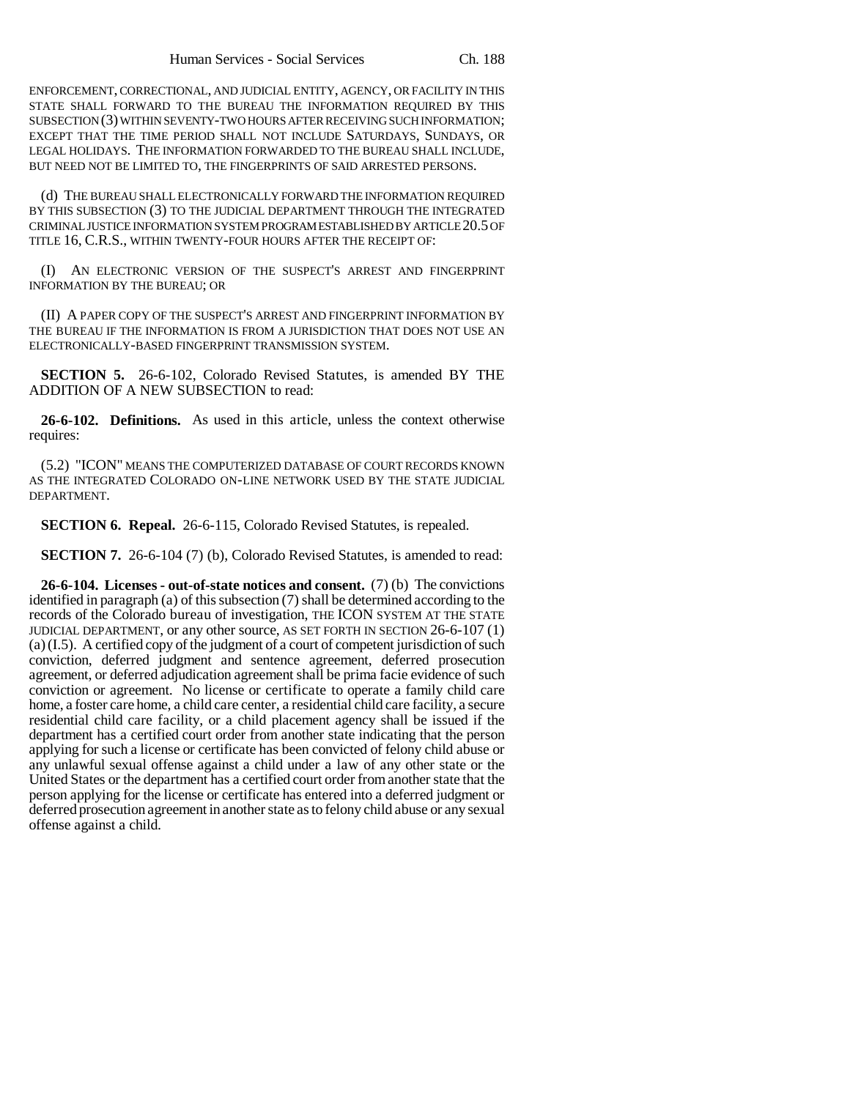ENFORCEMENT, CORRECTIONAL, AND JUDICIAL ENTITY, AGENCY, OR FACILITY IN THIS STATE SHALL FORWARD TO THE BUREAU THE INFORMATION REQUIRED BY THIS SUBSECTION (3) WITHIN SEVENTY-TWO HOURS AFTER RECEIVING SUCH INFORMATION; EXCEPT THAT THE TIME PERIOD SHALL NOT INCLUDE SATURDAYS, SUNDAYS, OR LEGAL HOLIDAYS. THE INFORMATION FORWARDED TO THE BUREAU SHALL INCLUDE, BUT NEED NOT BE LIMITED TO, THE FINGERPRINTS OF SAID ARRESTED PERSONS.

(d) THE BUREAU SHALL ELECTRONICALLY FORWARD THE INFORMATION REQUIRED BY THIS SUBSECTION (3) TO THE JUDICIAL DEPARTMENT THROUGH THE INTEGRATED CRIMINAL JUSTICE INFORMATION SYSTEM PROGRAM ESTABLISHED BY ARTICLE 20.5 OF TITLE 16, C.R.S., WITHIN TWENTY-FOUR HOURS AFTER THE RECEIPT OF:

(I) AN ELECTRONIC VERSION OF THE SUSPECT'S ARREST AND FINGERPRINT INFORMATION BY THE BUREAU; OR

(II) A PAPER COPY OF THE SUSPECT'S ARREST AND FINGERPRINT INFORMATION BY THE BUREAU IF THE INFORMATION IS FROM A JURISDICTION THAT DOES NOT USE AN ELECTRONICALLY-BASED FINGERPRINT TRANSMISSION SYSTEM.

**SECTION 5.** 26-6-102, Colorado Revised Statutes, is amended BY THE ADDITION OF A NEW SUBSECTION to read:

**26-6-102. Definitions.** As used in this article, unless the context otherwise requires:

(5.2) "ICON" MEANS THE COMPUTERIZED DATABASE OF COURT RECORDS KNOWN AS THE INTEGRATED COLORADO ON-LINE NETWORK USED BY THE STATE JUDICIAL DEPARTMENT.

**SECTION 6. Repeal.** 26-6-115, Colorado Revised Statutes, is repealed.

**SECTION 7.** 26-6-104 (7) (b), Colorado Revised Statutes, is amended to read:

**26-6-104. Licenses - out-of-state notices and consent.** (7) (b) The convictions identified in paragraph (a) of this subsection (7) shall be determined according to the records of the Colorado bureau of investigation, THE ICON SYSTEM AT THE STATE JUDICIAL DEPARTMENT, or any other source, AS SET FORTH IN SECTION 26-6-107 (1) (a)(I.5). A certified copy of the judgment of a court of competent jurisdiction of such conviction, deferred judgment and sentence agreement, deferred prosecution agreement, or deferred adjudication agreement shall be prima facie evidence of such conviction or agreement. No license or certificate to operate a family child care home, a foster care home, a child care center, a residential child care facility, a secure residential child care facility, or a child placement agency shall be issued if the department has a certified court order from another state indicating that the person applying for such a license or certificate has been convicted of felony child abuse or any unlawful sexual offense against a child under a law of any other state or the United States or the department has a certified court order from another state that the person applying for the license or certificate has entered into a deferred judgment or deferred prosecution agreement in another state as to felony child abuse or any sexual offense against a child.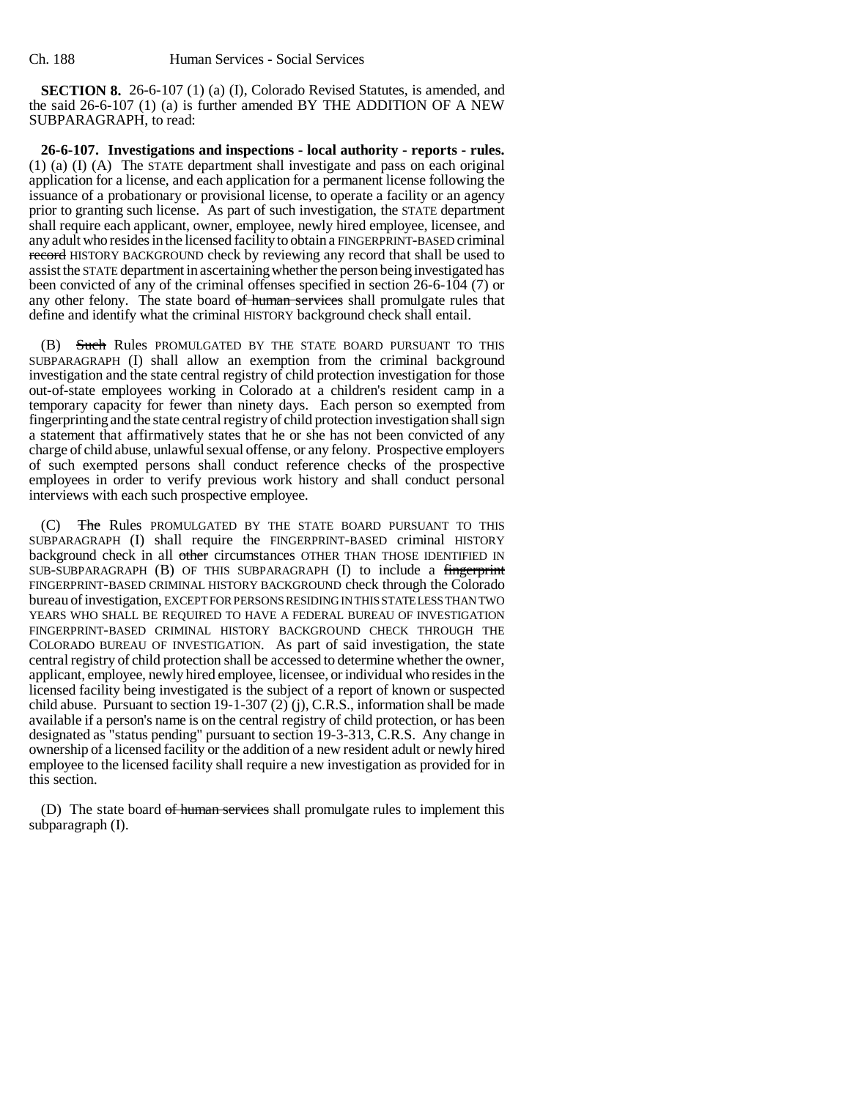**SECTION 8.** 26-6-107 (1) (a) (I), Colorado Revised Statutes, is amended, and the said 26-6-107 (1) (a) is further amended BY THE ADDITION OF A NEW SUBPARAGRAPH, to read:

**26-6-107. Investigations and inspections - local authority - reports - rules.** (1) (a) (I) (A) The STATE department shall investigate and pass on each original application for a license, and each application for a permanent license following the issuance of a probationary or provisional license, to operate a facility or an agency prior to granting such license. As part of such investigation, the STATE department shall require each applicant, owner, employee, newly hired employee, licensee, and any adult who resides in the licensed facility to obtain a FINGERPRINT-BASED criminal record HISTORY BACKGROUND check by reviewing any record that shall be used to assist the STATE department in ascertaining whether the person being investigated has been convicted of any of the criminal offenses specified in section 26-6-104 (7) or any other felony. The state board of human services shall promulgate rules that define and identify what the criminal HISTORY background check shall entail.

(B) Such Rules PROMULGATED BY THE STATE BOARD PURSUANT TO THIS SUBPARAGRAPH (I) shall allow an exemption from the criminal background investigation and the state central registry of child protection investigation for those out-of-state employees working in Colorado at a children's resident camp in a temporary capacity for fewer than ninety days. Each person so exempted from fingerprinting and the state central registry of child protection investigation shall sign a statement that affirmatively states that he or she has not been convicted of any charge of child abuse, unlawful sexual offense, or any felony. Prospective employers of such exempted persons shall conduct reference checks of the prospective employees in order to verify previous work history and shall conduct personal interviews with each such prospective employee.

(C) The Rules PROMULGATED BY THE STATE BOARD PURSUANT TO THIS SUBPARAGRAPH (I) shall require the FINGERPRINT-BASED criminal HISTORY background check in all other circumstances OTHER THAN THOSE IDENTIFIED IN SUB-SUBPARAGRAPH (B) OF THIS SUBPARAGRAPH (I) to include a fingerprint FINGERPRINT-BASED CRIMINAL HISTORY BACKGROUND check through the Colorado bureau of investigation, EXCEPT FOR PERSONS RESIDING IN THIS STATE LESS THAN TWO YEARS WHO SHALL BE REQUIRED TO HAVE A FEDERAL BUREAU OF INVESTIGATION FINGERPRINT-BASED CRIMINAL HISTORY BACKGROUND CHECK THROUGH THE COLORADO BUREAU OF INVESTIGATION. As part of said investigation, the state central registry of child protection shall be accessed to determine whether the owner, applicant, employee, newly hired employee, licensee, or individual who resides in the licensed facility being investigated is the subject of a report of known or suspected child abuse. Pursuant to section 19-1-307 (2) (j), C.R.S., information shall be made available if a person's name is on the central registry of child protection, or has been designated as "status pending" pursuant to section 19-3-313, C.R.S. Any change in ownership of a licensed facility or the addition of a new resident adult or newly hired employee to the licensed facility shall require a new investigation as provided for in this section.

(D) The state board of human services shall promulgate rules to implement this subparagraph (I).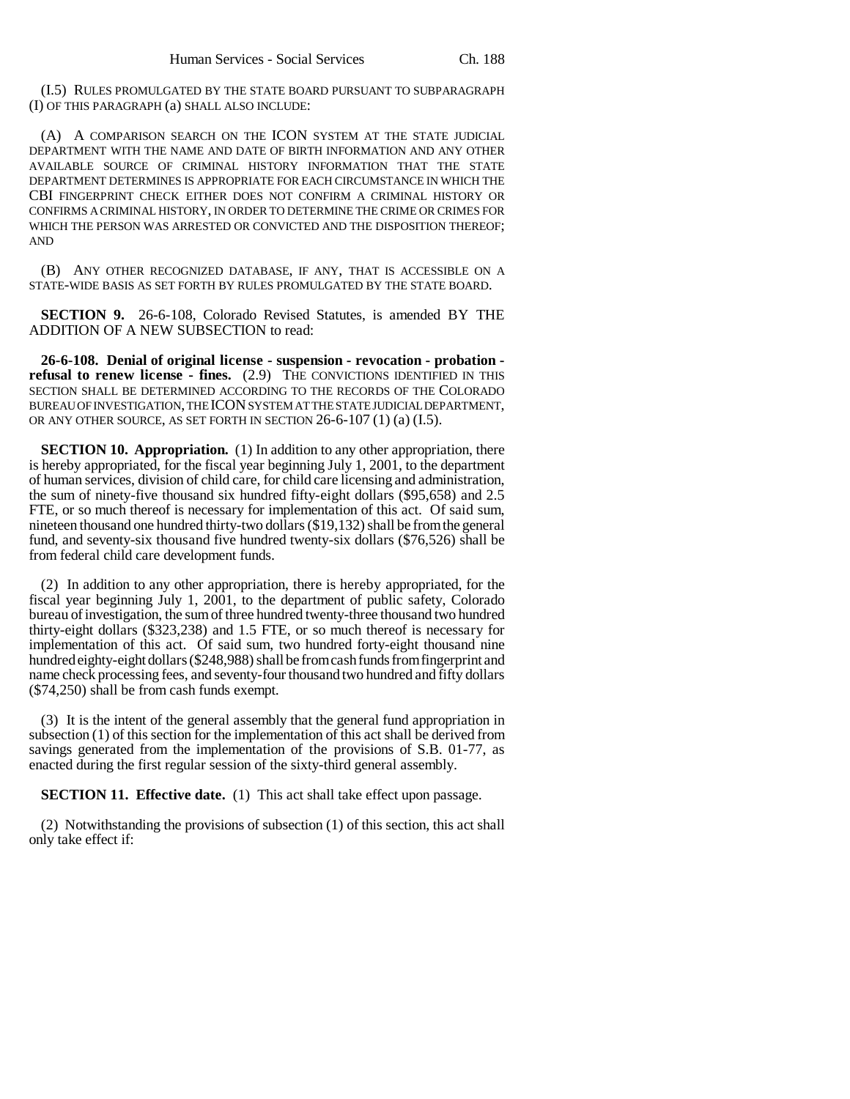(I.5) RULES PROMULGATED BY THE STATE BOARD PURSUANT TO SUBPARAGRAPH (I) OF THIS PARAGRAPH (a) SHALL ALSO INCLUDE:

(A) A COMPARISON SEARCH ON THE ICON SYSTEM AT THE STATE JUDICIAL DEPARTMENT WITH THE NAME AND DATE OF BIRTH INFORMATION AND ANY OTHER AVAILABLE SOURCE OF CRIMINAL HISTORY INFORMATION THAT THE STATE DEPARTMENT DETERMINES IS APPROPRIATE FOR EACH CIRCUMSTANCE IN WHICH THE CBI FINGERPRINT CHECK EITHER DOES NOT CONFIRM A CRIMINAL HISTORY OR CONFIRMS A CRIMINAL HISTORY, IN ORDER TO DETERMINE THE CRIME OR CRIMES FOR WHICH THE PERSON WAS ARRESTED OR CONVICTED AND THE DISPOSITION THEREOF; AND

(B) ANY OTHER RECOGNIZED DATABASE, IF ANY, THAT IS ACCESSIBLE ON A STATE-WIDE BASIS AS SET FORTH BY RULES PROMULGATED BY THE STATE BOARD.

**SECTION 9.** 26-6-108, Colorado Revised Statutes, is amended BY THE ADDITION OF A NEW SUBSECTION to read:

**26-6-108. Denial of original license - suspension - revocation - probation refusal to renew license - fines.** (2.9) THE CONVICTIONS IDENTIFIED IN THIS SECTION SHALL BE DETERMINED ACCORDING TO THE RECORDS OF THE COLORADO BUREAU OF INVESTIGATION, THE ICON SYSTEM AT THE STATE JUDICIAL DEPARTMENT, OR ANY OTHER SOURCE, AS SET FORTH IN SECTION 26-6-107 (1) (a) (I.5).

**SECTION 10. Appropriation.** (1) In addition to any other appropriation, there is hereby appropriated, for the fiscal year beginning July 1, 2001, to the department of human services, division of child care, for child care licensing and administration, the sum of ninety-five thousand six hundred fifty-eight dollars (\$95,658) and 2.5 FTE, or so much thereof is necessary for implementation of this act. Of said sum, nineteen thousand one hundred thirty-two dollars (\$19,132) shall be from the general fund, and seventy-six thousand five hundred twenty-six dollars (\$76,526) shall be from federal child care development funds.

(2) In addition to any other appropriation, there is hereby appropriated, for the fiscal year beginning July 1, 2001, to the department of public safety, Colorado bureau of investigation, the sum of three hundred twenty-three thousand two hundred thirty-eight dollars (\$323,238) and 1.5 FTE, or so much thereof is necessary for implementation of this act. Of said sum, two hundred forty-eight thousand nine hundred eighty-eight dollars (\$248,988) shall be from cash funds from fingerprint and name check processing fees, and seventy-four thousand two hundred and fifty dollars (\$74,250) shall be from cash funds exempt.

(3) It is the intent of the general assembly that the general fund appropriation in subsection (1) of this section for the implementation of this act shall be derived from savings generated from the implementation of the provisions of S.B. 01-77, as enacted during the first regular session of the sixty-third general assembly.

**SECTION 11. Effective date.** (1) This act shall take effect upon passage.

(2) Notwithstanding the provisions of subsection (1) of this section, this act shall only take effect if: